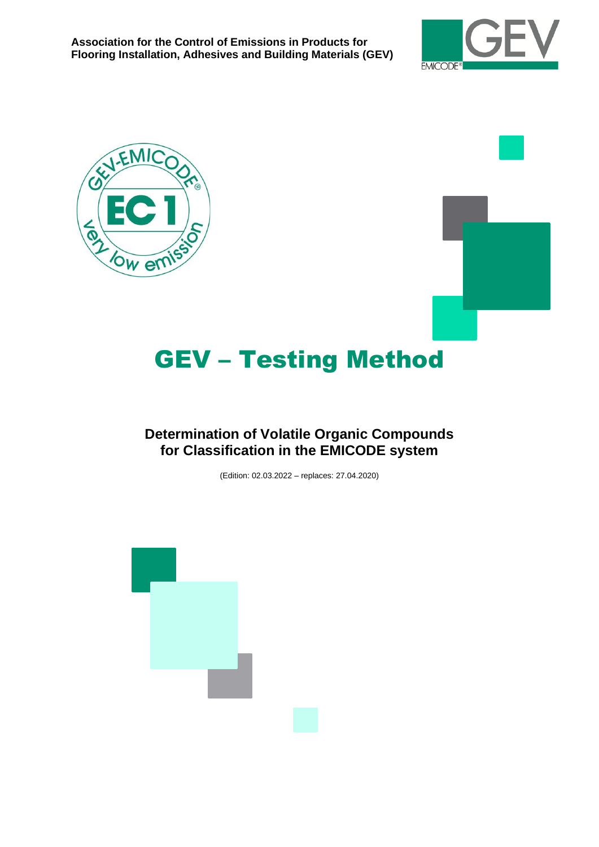





# GEV – Testing Method

# **Determination of Volatile Organic Compounds for Classification in the EMICODE system**

(Edition: 02.03.2022 – replaces: 27.04.2020)

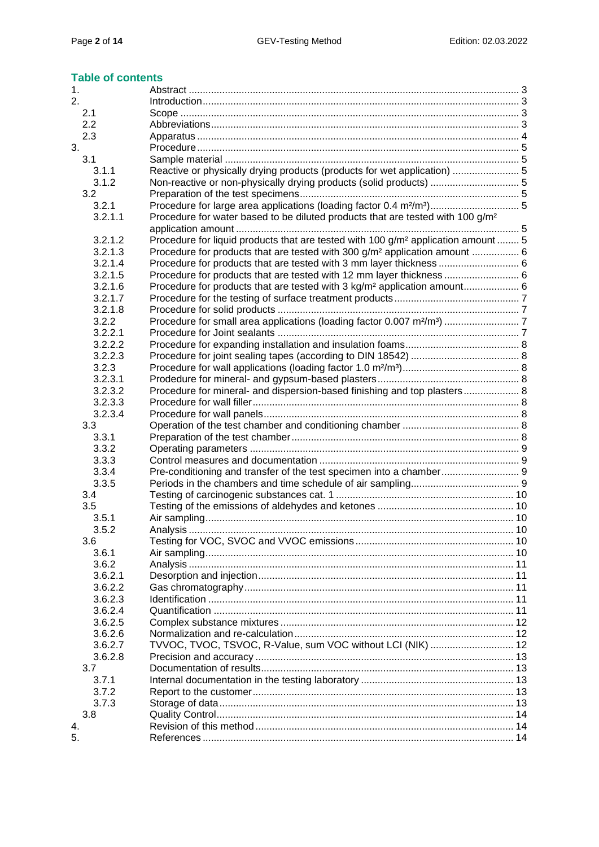#### **Table of contents**

| 1.                 |                                                                                               |  |
|--------------------|-----------------------------------------------------------------------------------------------|--|
| 2.                 |                                                                                               |  |
| 2.1                |                                                                                               |  |
| 2.2                |                                                                                               |  |
| 2.3                |                                                                                               |  |
| 3.                 |                                                                                               |  |
| 3.1                |                                                                                               |  |
| 3.1.1              | Reactive or physically drying products (products for wet application)  5                      |  |
| 3.1.2              | Non-reactive or non-physically drying products (solid products)  5                            |  |
| 3.2                |                                                                                               |  |
| 3.2.1              | Procedure for large area applications (loading factor 0.4 m <sup>2</sup> /m <sup>3</sup> ) 5  |  |
| 3.2.1.1            | Procedure for water based to be diluted products that are tested with 100 g/m <sup>2</sup>    |  |
|                    |                                                                                               |  |
| 3.2.1.2            | Procedure for liquid products that are tested with 100 g/m <sup>2</sup> application amount  5 |  |
| 3.2.1.3            | Procedure for products that are tested with 300 g/m <sup>2</sup> application amount  6        |  |
| 3.2.1.4            |                                                                                               |  |
| 3.2.1.5            | Procedure for products that are tested with 12 mm layer thickness  6                          |  |
| 3.2.1.6            | Procedure for products that are tested with 3 kg/m <sup>2</sup> application amount 6          |  |
| 3.2.1.7            |                                                                                               |  |
| 3.2.1.8            |                                                                                               |  |
| 3.2.2              |                                                                                               |  |
| 3.2.2.1            |                                                                                               |  |
| 3.2.2.2            |                                                                                               |  |
| 3.2.2.3            |                                                                                               |  |
| 3.2.3              |                                                                                               |  |
| 3.2.3.1            |                                                                                               |  |
| 3.2.3.2            | Procedure for mineral- and dispersion-based finishing and top plasters 8                      |  |
| 3.2.3.3            |                                                                                               |  |
| 3.2.3.4            |                                                                                               |  |
| 3.3                |                                                                                               |  |
| 3.3.1              |                                                                                               |  |
| 3.3.2              |                                                                                               |  |
| 3.3.3              |                                                                                               |  |
| 3.3.4              |                                                                                               |  |
| 3.3.5              |                                                                                               |  |
| 3.4                |                                                                                               |  |
| 3.5                |                                                                                               |  |
| 3.5.1              |                                                                                               |  |
| 3.5.2              |                                                                                               |  |
| 3.6                |                                                                                               |  |
| 3.6.1              |                                                                                               |  |
| 3.6.2              |                                                                                               |  |
| 3.6.2.1            |                                                                                               |  |
| 3.6.2.2            |                                                                                               |  |
| 3.6.2.3<br>3.6.2.4 |                                                                                               |  |
|                    |                                                                                               |  |
| 3.6.2.5            |                                                                                               |  |
| 3.6.2.6<br>3.6.2.7 | TVVOC, TVOC, TSVOC, R-Value, sum VOC without LCI (NIK)  12                                    |  |
| 3.6.2.8            |                                                                                               |  |
|                    |                                                                                               |  |
| 3.7<br>3.7.1       |                                                                                               |  |
|                    |                                                                                               |  |
| 3.7.2              |                                                                                               |  |
| 3.7.3<br>3.8       |                                                                                               |  |
| 4.                 |                                                                                               |  |
| 5.                 |                                                                                               |  |
|                    |                                                                                               |  |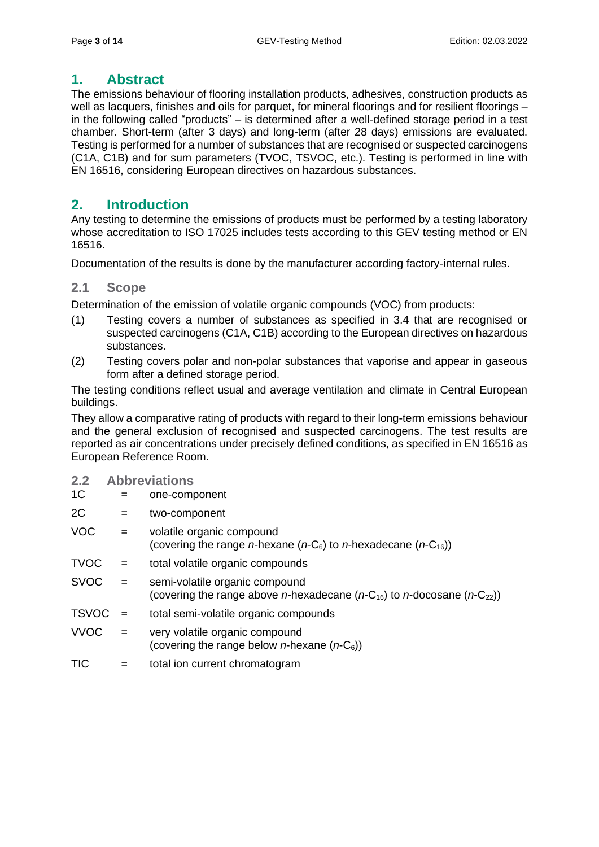# <span id="page-2-0"></span>**1. Abstract**

The emissions behaviour of flooring installation products, adhesives, construction products as well as lacquers, finishes and oils for parquet, for mineral floorings and for resilient floorings – in the following called "products" – is determined after a well-defined storage period in a test chamber. Short-term (after 3 days) and long-term (after 28 days) emissions are evaluated. Testing is performed for a number of substances that are recognised or suspected carcinogens (C1A, C1B) and for sum parameters (TVOC, TSVOC, etc.). Testing is performed in line with EN 16516, considering European directives on hazardous substances.

# <span id="page-2-1"></span>**2. Introduction**

Any testing to determine the emissions of products must be performed by a testing laboratory whose accreditation to ISO 17025 includes tests according to this GEV testing method or EN 16516.

Documentation of the results is done by the manufacturer according factory-internal rules.

## <span id="page-2-2"></span>**2.1 Scope**

Determination of the emission of volatile organic compounds (VOC) from products:

- (1) Testing covers a number of substances as specified in 3.4 that are recognised or suspected carcinogens (C1A, C1B) according to the European directives on hazardous substances.
- (2) Testing covers polar and non-polar substances that vaporise and appear in gaseous form after a defined storage period.

The testing conditions reflect usual and average ventilation and climate in Central European buildings.

They allow a comparative rating of products with regard to their long-term emissions behaviour and the general exclusion of recognised and suspected carcinogens. The test results are reported as air concentrations under precisely defined conditions, as specified in EN 16516 as European Reference Room.

- <span id="page-2-3"></span>**2.2 Abbreviations**
- 1C = one-component
- 2C = two-component
- VOC = volatile organic compound (covering the range *n*-hexane ( $n$ -C<sub>6</sub>) to *n*-hexadecane ( $n$ -C<sub>16</sub>))
- TVOC = total volatile organic compounds
- SVOC = semi-volatile organic compound (covering the range above *n*-hexadecane ( $n-C_{16}$ ) to *n*-docosane ( $n-C_{22}$ ))
- TSVOC = total semi-volatile organic compounds
- VVOC = very volatile organic compound (covering the range below *n*-hexane (*n*-C6))
- TIC = total ion current chromatogram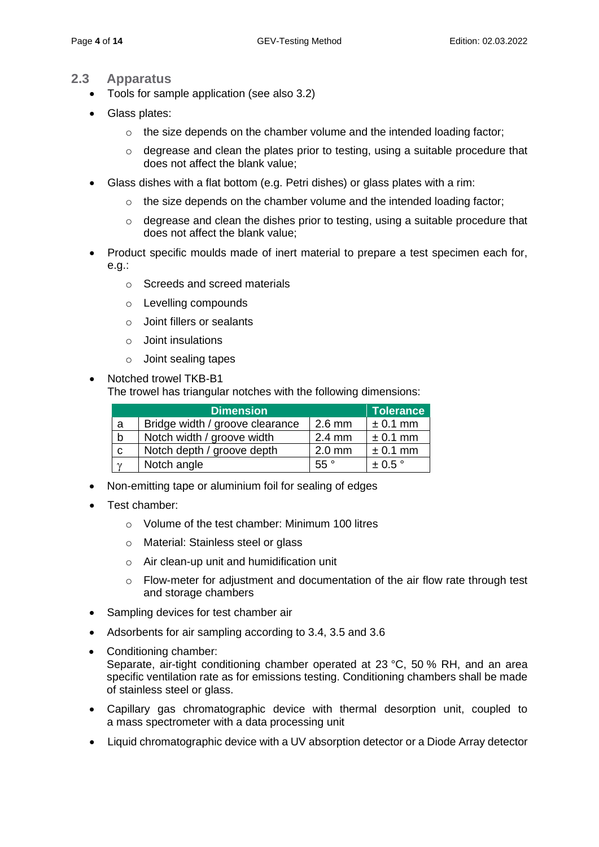## <span id="page-3-0"></span>**2.3 Apparatus**

- Tools for sample application (see also 3.2)
- Glass plates:
	- $\circ$  the size depends on the chamber volume and the intended loading factor;
	- o degrease and clean the plates prior to testing, using a suitable procedure that does not affect the blank value;
- Glass dishes with a flat bottom (e.g. Petri dishes) or glass plates with a rim:
	- $\circ$  the size depends on the chamber volume and the intended loading factor;
	- $\circ$  degrease and clean the dishes prior to testing, using a suitable procedure that does not affect the blank value;
- Product specific moulds made of inert material to prepare a test specimen each for, e.g.:
	- o Screeds and screed materials
	- o Levelling compounds
	- o Joint fillers or sealants
	- o Joint insulations
	- o Joint sealing tapes
- Notched trowel TKB-B1

The trowel has triangular notches with the following dimensions:

| <b>Dimension</b> |                                 |                  | <b>Tolerance</b>     |
|------------------|---------------------------------|------------------|----------------------|
| a                | Bridge width / groove clearance | $2.6$ mm         | $\pm$ 0.1 mm         |
| b                | Notch width / groove width      | $2.4 \text{ mm}$ | $\pm$ 0.1 mm         |
| C                | Notch depth / groove depth      | $2.0$ mm         | $± 0.1$ mm           |
| $\gamma$         | Notch angle                     | 55°              | $\pm$ 0.5 $^{\circ}$ |

- Non-emitting tape or aluminium foil for sealing of edges
- Test chamber:
	- o Volume of the test chamber: Minimum 100 litres
	- o Material: Stainless steel or glass
	- o Air clean-up unit and humidification unit
	- o Flow-meter for adjustment and documentation of the air flow rate through test and storage chambers
- Sampling devices for test chamber air
- Adsorbents for air sampling according to 3.4, 3.5 and 3.6
- Conditioning chamber: Separate, air-tight conditioning chamber operated at 23 °C, 50 % RH, and an area specific ventilation rate as for emissions testing. Conditioning chambers shall be made of stainless steel or glass.
- Capillary gas chromatographic device with thermal desorption unit, coupled to a mass spectrometer with a data processing unit
- Liquid chromatographic device with a UV absorption detector or a Diode Array detector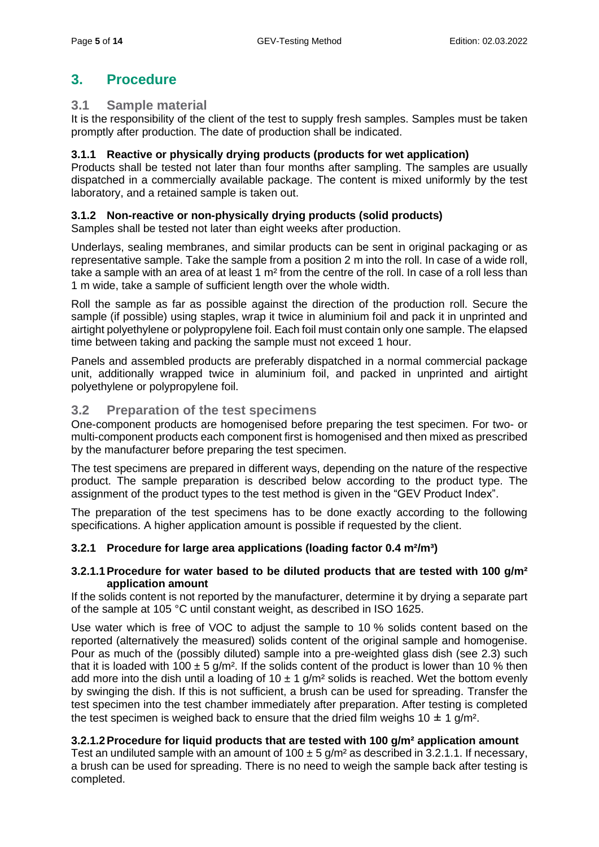# <span id="page-4-0"></span>**3. Procedure**

## <span id="page-4-1"></span>**3.1 Sample material**

It is the responsibility of the client of the test to supply fresh samples. Samples must be taken promptly after production. The date of production shall be indicated.

## <span id="page-4-2"></span>**3.1.1 Reactive or physically drying products (products for wet application)**

Products shall be tested not later than four months after sampling. The samples are usually dispatched in a commercially available package. The content is mixed uniformly by the test laboratory, and a retained sample is taken out.

## <span id="page-4-3"></span>**3.1.2 Non-reactive or non-physically drying products (solid products)**

Samples shall be tested not later than eight weeks after production.

Underlays, sealing membranes, and similar products can be sent in original packaging or as representative sample. Take the sample from a position 2 m into the roll. In case of a wide roll, take a sample with an area of at least 1 m² from the centre of the roll. In case of a roll less than 1 m wide, take a sample of sufficient length over the whole width.

Roll the sample as far as possible against the direction of the production roll. Secure the sample (if possible) using staples, wrap it twice in aluminium foil and pack it in unprinted and airtight polyethylene or polypropylene foil. Each foil must contain only one sample. The elapsed time between taking and packing the sample must not exceed 1 hour.

Panels and assembled products are preferably dispatched in a normal commercial package unit, additionally wrapped twice in aluminium foil, and packed in unprinted and airtight polyethylene or polypropylene foil.

## <span id="page-4-4"></span>**3.2 Preparation of the test specimens**

One-component products are homogenised before preparing the test specimen. For two- or multi-component products each component first is homogenised and then mixed as prescribed by the manufacturer before preparing the test specimen.

The test specimens are prepared in different ways, depending on the nature of the respective product. The sample preparation is described below according to the product type. The assignment of the product types to the test method is given in the "GEV Product Index".

The preparation of the test specimens has to be done exactly according to the following specifications. A higher application amount is possible if requested by the client.

## <span id="page-4-5"></span>**3.2.1 Procedure for large area applications (loading factor 0.4 m²/m³)**

#### <span id="page-4-6"></span>**3.2.1.1Procedure for water based to be diluted products that are tested with 100 g/m² application amount**

If the solids content is not reported by the manufacturer, determine it by drying a separate part of the sample at 105 °C until constant weight, as described in ISO 1625.

Use water which is free of VOC to adjust the sample to 10 % solids content based on the reported (alternatively the measured) solids content of the original sample and homogenise. Pour as much of the (possibly diluted) sample into a pre-weighted glass dish (see 2.3) such that it is loaded with 100  $\pm$  5 g/m<sup>2</sup>. If the solids content of the product is lower than 10 % then add more into the dish until a loading of 10  $\pm$  1 g/m<sup>2</sup> solids is reached. Wet the bottom evenly by swinging the dish. If this is not sufficient, a brush can be used for spreading. Transfer the test specimen into the test chamber immediately after preparation. After testing is completed the test specimen is weighed back to ensure that the dried film weighs  $10 \pm 1$  g/m<sup>2</sup>.

## <span id="page-4-7"></span>**3.2.1.2Procedure for liquid products that are tested with 100 g/m² application amount**

Test an undiluted sample with an amount of 100  $\pm$  5 g/m<sup>2</sup> as described in 3.2.1.1. If necessary, a brush can be used for spreading. There is no need to weigh the sample back after testing is completed.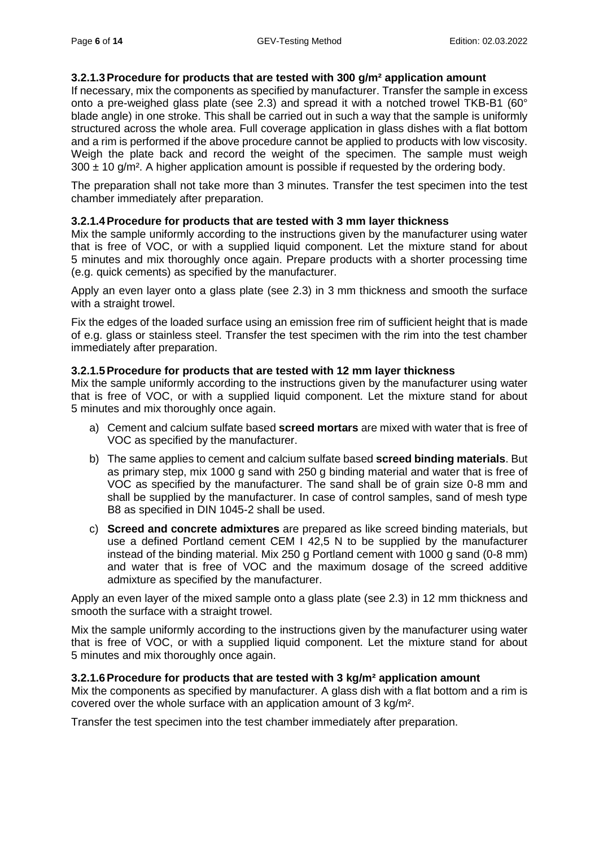#### <span id="page-5-0"></span>**3.2.1.3Procedure for products that are tested with 300 g/m² application amount**

If necessary, mix the components as specified by manufacturer. Transfer the sample in excess onto a pre-weighed glass plate (see 2.3) and spread it with a notched trowel TKB-B1 (60° blade angle) in one stroke. This shall be carried out in such a way that the sample is uniformly structured across the whole area. Full coverage application in glass dishes with a flat bottom and a rim is performed if the above procedure cannot be applied to products with low viscosity. Weigh the plate back and record the weight of the specimen. The sample must weigh  $300 \pm 10$  g/m<sup>2</sup>. A higher application amount is possible if requested by the ordering body.

The preparation shall not take more than 3 minutes. Transfer the test specimen into the test chamber immediately after preparation.

#### <span id="page-5-1"></span>**3.2.1.4Procedure for products that are tested with 3 mm layer thickness**

Mix the sample uniformly according to the instructions given by the manufacturer using water that is free of VOC, or with a supplied liquid component. Let the mixture stand for about 5 minutes and mix thoroughly once again. Prepare products with a shorter processing time (e.g. quick cements) as specified by the manufacturer.

Apply an even layer onto a glass plate (see 2.3) in 3 mm thickness and smooth the surface with a straight trowel.

Fix the edges of the loaded surface using an emission free rim of sufficient height that is made of e.g. glass or stainless steel. Transfer the test specimen with the rim into the test chamber immediately after preparation.

#### <span id="page-5-2"></span>**3.2.1.5Procedure for products that are tested with 12 mm layer thickness**

Mix the sample uniformly according to the instructions given by the manufacturer using water that is free of VOC, or with a supplied liquid component. Let the mixture stand for about 5 minutes and mix thoroughly once again.

- a) Cement and calcium sulfate based **screed mortars** are mixed with water that is free of VOC as specified by the manufacturer.
- b) The same applies to cement and calcium sulfate based **screed binding materials**. But as primary step, mix 1000 g sand with 250 g binding material and water that is free of VOC as specified by the manufacturer. The sand shall be of grain size 0-8 mm and shall be supplied by the manufacturer. In case of control samples, sand of mesh type B8 as specified in DIN 1045-2 shall be used.
- c) **Screed and concrete admixtures** are prepared as like screed binding materials, but use a defined Portland cement CEM I 42,5 N to be supplied by the manufacturer instead of the binding material. Mix 250 g Portland cement with 1000 g sand (0-8 mm) and water that is free of VOC and the maximum dosage of the screed additive admixture as specified by the manufacturer.

Apply an even layer of the mixed sample onto a glass plate (see 2.3) in 12 mm thickness and smooth the surface with a straight trowel.

Mix the sample uniformly according to the instructions given by the manufacturer using water that is free of VOC, or with a supplied liquid component. Let the mixture stand for about 5 minutes and mix thoroughly once again.

#### <span id="page-5-3"></span>**3.2.1.6Procedure for products that are tested with 3 kg/m² application amount**

Mix the components as specified by manufacturer. A glass dish with a flat bottom and a rim is covered over the whole surface with an application amount of 3 kg/m².

Transfer the test specimen into the test chamber immediately after preparation.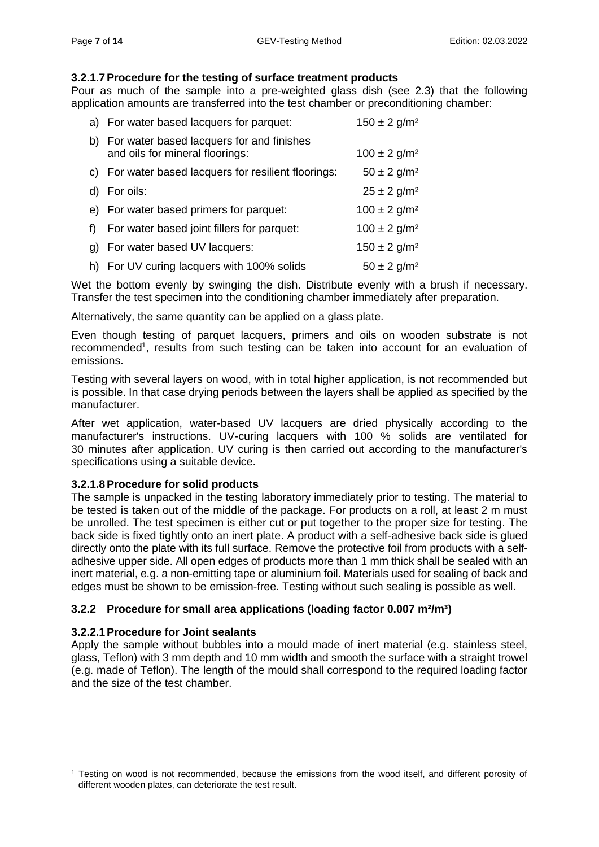#### <span id="page-6-0"></span>**3.2.1.7Procedure for the testing of surface treatment products**

Pour as much of the sample into a pre-weighted glass dish (see 2.3) that the following application amounts are transferred into the test chamber or preconditioning chamber:

|    | a) For water based lacquers for parquet:                                     | $150 \pm 2$ g/m <sup>2</sup> |
|----|------------------------------------------------------------------------------|------------------------------|
| b) | For water based lacquers for and finishes<br>and oils for mineral floorings: | $100 \pm 2$ g/m <sup>2</sup> |
|    | c) For water based lacquers for resilient floorings:                         | $50 \pm 2$ g/m <sup>2</sup>  |
|    | d) For oils:                                                                 | $25 \pm 2$ g/m <sup>2</sup>  |
|    | e) For water based primers for parquet:                                      | $100 \pm 2$ g/m <sup>2</sup> |
| f  | For water based joint fillers for parquet:                                   | $100 \pm 2$ g/m <sup>2</sup> |
| g) | For water based UV lacquers:                                                 | $150 \pm 2$ g/m <sup>2</sup> |
|    | h) For UV curing lacquers with 100% solids                                   | $50 \pm 2$ g/m <sup>2</sup>  |
|    |                                                                              |                              |

Wet the bottom evenly by swinging the dish. Distribute evenly with a brush if necessary. Transfer the test specimen into the conditioning chamber immediately after preparation.

Alternatively, the same quantity can be applied on a glass plate.

Even though testing of parquet lacquers, primers and oils on wooden substrate is not recommended<sup>1</sup>, results from such testing can be taken into account for an evaluation of emissions.

Testing with several layers on wood, with in total higher application, is not recommended but is possible. In that case drying periods between the layers shall be applied as specified by the manufacturer.

After wet application, water-based UV lacquers are dried physically according to the manufacturer's instructions. UV-curing lacquers with 100 % solids are ventilated for 30 minutes after application. UV curing is then carried out according to the manufacturer's specifications using a suitable device.

#### <span id="page-6-1"></span>**3.2.1.8Procedure for solid products**

The sample is unpacked in the testing laboratory immediately prior to testing. The material to be tested is taken out of the middle of the package. For products on a roll, at least 2 m must be unrolled. The test specimen is either cut or put together to the proper size for testing. The back side is fixed tightly onto an inert plate. A product with a self-adhesive back side is glued directly onto the plate with its full surface. Remove the protective foil from products with a selfadhesive upper side. All open edges of products more than 1 mm thick shall be sealed with an inert material, e.g. a non-emitting tape or aluminium foil. Materials used for sealing of back and edges must be shown to be emission-free. Testing without such sealing is possible as well.

#### <span id="page-6-2"></span>**3.2.2 Procedure for small area applications (loading factor 0.007 m²/m³)**

#### <span id="page-6-3"></span>**3.2.2.1Procedure for Joint sealants**

Apply the sample without bubbles into a mould made of inert material (e.g. stainless steel, glass, Teflon) with 3 mm depth and 10 mm width and smooth the surface with a straight trowel (e.g. made of Teflon). The length of the mould shall correspond to the required loading factor and the size of the test chamber.

<sup>&</sup>lt;sup>1</sup> Testing on wood is not recommended, because the emissions from the wood itself, and different porosity of different wooden plates, can deteriorate the test result.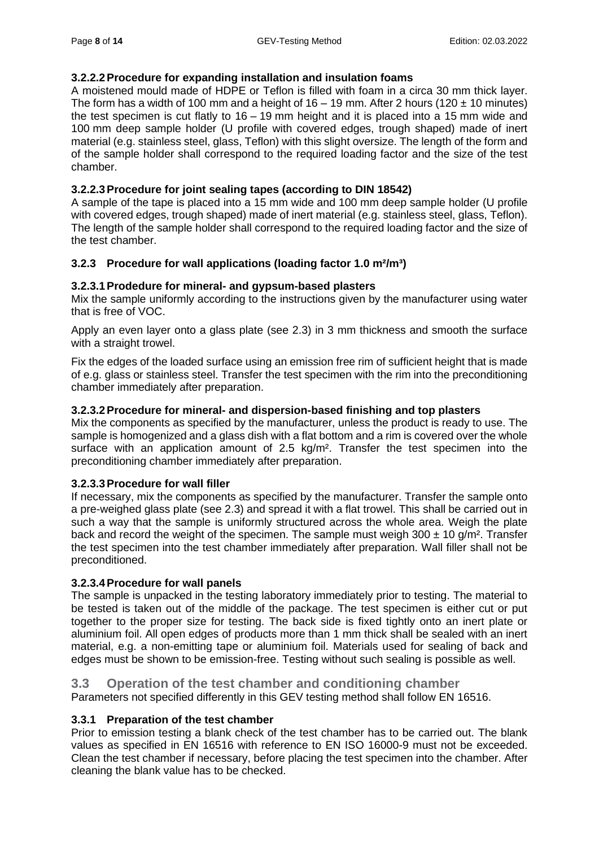## <span id="page-7-0"></span>**3.2.2.2Procedure for expanding installation and insulation foams**

A moistened mould made of HDPE or Teflon is filled with foam in a circa 30 mm thick layer. The form has a width of 100 mm and a height of 16 – 19 mm. After 2 hours (120  $\pm$  10 minutes) the test specimen is cut flatly to 16 – 19 mm height and it is placed into a 15 mm wide and 100 mm deep sample holder (U profile with covered edges, trough shaped) made of inert material (e.g. stainless steel, glass, Teflon) with this slight oversize. The length of the form and of the sample holder shall correspond to the required loading factor and the size of the test chamber.

## <span id="page-7-1"></span>**3.2.2.3Procedure for joint sealing tapes (according to DIN 18542)**

A sample of the tape is placed into a 15 mm wide and 100 mm deep sample holder (U profile with covered edges, trough shaped) made of inert material (e.g. stainless steel, glass, Teflon). The length of the sample holder shall correspond to the required loading factor and the size of the test chamber.

## <span id="page-7-2"></span>**3.2.3 Procedure for wall applications (loading factor 1.0 m²/m³)**

## <span id="page-7-3"></span>**3.2.3.1Prodedure for mineral- and gypsum-based plasters**

Mix the sample uniformly according to the instructions given by the manufacturer using water that is free of VOC.

Apply an even layer onto a glass plate (see 2.3) in 3 mm thickness and smooth the surface with a straight trowel.

Fix the edges of the loaded surface using an emission free rim of sufficient height that is made of e.g. glass or stainless steel. Transfer the test specimen with the rim into the preconditioning chamber immediately after preparation.

#### <span id="page-7-4"></span>**3.2.3.2Procedure for mineral- and dispersion-based finishing and top plasters**

Mix the components as specified by the manufacturer, unless the product is ready to use. The sample is homogenized and a glass dish with a flat bottom and a rim is covered over the whole surface with an application amount of 2.5 kg/m². Transfer the test specimen into the preconditioning chamber immediately after preparation.

#### <span id="page-7-5"></span>**3.2.3.3Procedure for wall filler**

If necessary, mix the components as specified by the manufacturer. Transfer the sample onto a pre-weighed glass plate (see 2.3) and spread it with a flat trowel. This shall be carried out in such a way that the sample is uniformly structured across the whole area. Weigh the plate back and record the weight of the specimen. The sample must weigh  $300 \pm 10$  g/m<sup>2</sup>. Transfer the test specimen into the test chamber immediately after preparation. Wall filler shall not be preconditioned.

#### <span id="page-7-6"></span>**3.2.3.4Procedure for wall panels**

The sample is unpacked in the testing laboratory immediately prior to testing. The material to be tested is taken out of the middle of the package. The test specimen is either cut or put together to the proper size for testing. The back side is fixed tightly onto an inert plate or aluminium foil. All open edges of products more than 1 mm thick shall be sealed with an inert material, e.g. a non-emitting tape or aluminium foil. Materials used for sealing of back and edges must be shown to be emission-free. Testing without such sealing is possible as well.

## <span id="page-7-7"></span>**3.3 Operation of the test chamber and conditioning chamber**

Parameters not specified differently in this GEV testing method shall follow EN 16516.

#### <span id="page-7-8"></span>**3.3.1 Preparation of the test chamber**

Prior to emission testing a blank check of the test chamber has to be carried out. The blank values as specified in EN 16516 with reference to EN ISO 16000-9 must not be exceeded. Clean the test chamber if necessary, before placing the test specimen into the chamber. After cleaning the blank value has to be checked.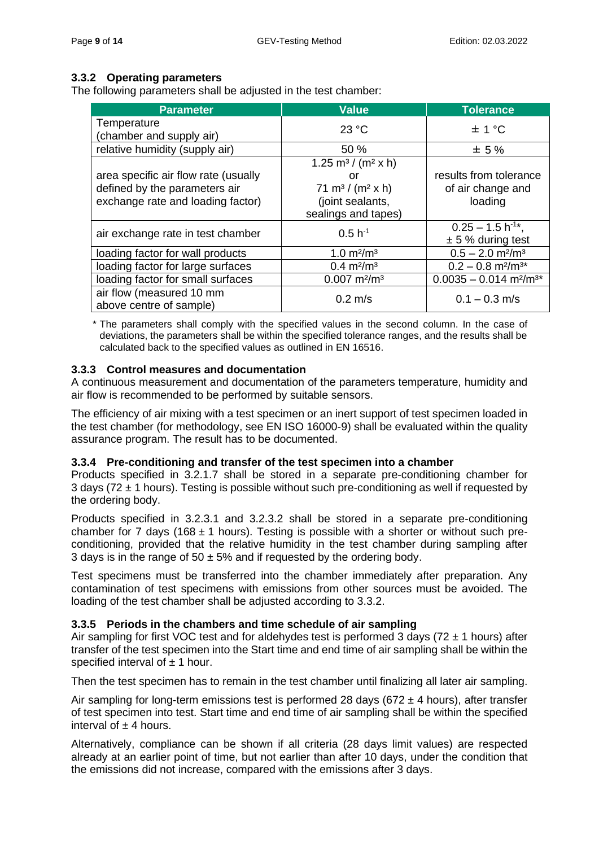## <span id="page-8-0"></span>**3.3.2 Operating parameters**

The following parameters shall be adjusted in the test chamber:

| <b>Parameter</b>                                    | <b>Value</b>                               | <b>Tolerance</b>                                 |
|-----------------------------------------------------|--------------------------------------------|--------------------------------------------------|
| Temperature<br>(chamber and supply air)             | 23 °C                                      | $\pm$ 1 °C                                       |
| relative humidity (supply air)                      | 50%                                        | $±5\%$                                           |
|                                                     | 1.25 m <sup>3</sup> / (m <sup>2</sup> x h) |                                                  |
| area specific air flow rate (usually                | or                                         | results from tolerance                           |
| defined by the parameters air                       | 71 m <sup>3</sup> / (m <sup>2</sup> x h)   | of air change and                                |
| exchange rate and loading factor)                   | (joint sealants,                           | loading                                          |
|                                                     | sealings and tapes)                        |                                                  |
| air exchange rate in test chamber                   | $0.5 h^{-1}$                               | $0.25 - 1.5 h^{-1*}$ ,                           |
|                                                     |                                            | $± 5%$ during test                               |
| loading factor for wall products                    | $1.0 \text{ m}^2/\text{m}^3$               | $0.5 - 2.0$ m <sup>2</sup> /m <sup>3</sup>       |
| loading factor for large surfaces                   | $0.4 \text{ m}^2/\text{m}^3$               | $0.2 - 0.8$ m <sup>2</sup> /m <sup>3*</sup>      |
| loading factor for small surfaces                   | $0.007$ m <sup>2</sup> /m <sup>3</sup>     | $0.0035 - 0.014$ m <sup>2</sup> /m <sup>3*</sup> |
| air flow (measured 10 mm<br>above centre of sample) | $0.2 \text{ m/s}$                          | $0.1 - 0.3$ m/s                                  |

\* The parameters shall comply with the specified values in the second column. In the case of deviations, the parameters shall be within the specified tolerance ranges, and the results shall be calculated back to the specified values as outlined in EN 16516.

## <span id="page-8-1"></span>**3.3.3 Control measures and documentation**

A continuous measurement and documentation of the parameters temperature, humidity and air flow is recommended to be performed by suitable sensors.

The efficiency of air mixing with a test specimen or an inert support of test specimen loaded in the test chamber (for methodology, see EN ISO 16000-9) shall be evaluated within the quality assurance program. The result has to be documented.

#### <span id="page-8-2"></span>**3.3.4 Pre-conditioning and transfer of the test specimen into a chamber**

Products specified in 3.2.1.7 shall be stored in a separate pre-conditioning chamber for 3 days (72  $\pm$  1 hours). Testing is possible without such pre-conditioning as well if requested by the ordering body.

Products specified in 3.2.3.1 and 3.2.3.2 shall be stored in a separate pre-conditioning chamber for 7 days (168  $\pm$  1 hours). Testing is possible with a shorter or without such preconditioning, provided that the relative humidity in the test chamber during sampling after 3 days is in the range of  $50 \pm 5\%$  and if requested by the ordering body.

Test specimens must be transferred into the chamber immediately after preparation. Any contamination of test specimens with emissions from other sources must be avoided. The loading of the test chamber shall be adjusted according to 3.3.2.

## <span id="page-8-3"></span>**3.3.5 Periods in the chambers and time schedule of air sampling**

Air sampling for first VOC test and for aldehydes test is performed 3 days ( $72 \pm 1$  hours) after transfer of the test specimen into the Start time and end time of air sampling shall be within the specified interval of  $\pm$  1 hour.

Then the test specimen has to remain in the test chamber until finalizing all later air sampling.

Air sampling for long-term emissions test is performed 28 days (672  $\pm$  4 hours), after transfer of test specimen into test. Start time and end time of air sampling shall be within the specified interval of  $\pm$  4 hours.

Alternatively, compliance can be shown if all criteria (28 days limit values) are respected already at an earlier point of time, but not earlier than after 10 days, under the condition that the emissions did not increase, compared with the emissions after 3 days.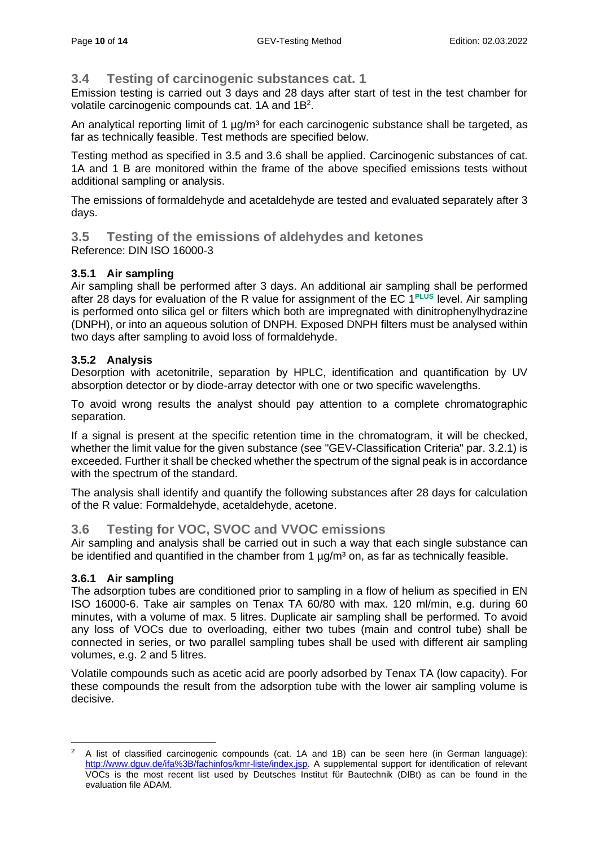## <span id="page-9-0"></span>**3.4 Testing of carcinogenic substances cat. 1**

Emission testing is carried out 3 days and 28 days after start of test in the test chamber for volatile carcinogenic compounds cat.  $1A$  and  $1B<sup>2</sup>$ .

An analytical reporting limit of 1  $\mu q/m^3$  for each carcinogenic substance shall be targeted, as far as technically feasible. Test methods are specified below.

Testing method as specified in 3.5 and 3.6 shall be applied. Carcinogenic substances of cat. 1A and 1 B are monitored within the frame of the above specified emissions tests without additional sampling or analysis.

The emissions of formaldehyde and acetaldehyde are tested and evaluated separately after 3 days.

#### <span id="page-9-1"></span>**3.5 Testing of the emissions of aldehydes and ketones** Reference: DIN ISO 16000-3

## <span id="page-9-2"></span>**3.5.1 Air sampling**

Air sampling shall be performed after 3 days. An additional air sampling shall be performed after 28 days for evaluation of the R value for assignment of the EC 1<sup>PLUS</sup> level. Air sampling is performed onto silica gel or filters which both are impregnated with dinitrophenylhydrazine (DNPH), or into an aqueous solution of DNPH. Exposed DNPH filters must be analysed within two days after sampling to avoid loss of formaldehyde.

## <span id="page-9-3"></span>**3.5.2 Analysis**

Desorption with acetonitrile, separation by HPLC, identification and quantification by UV absorption detector or by diode-array detector with one or two specific wavelengths.

To avoid wrong results the analyst should pay attention to a complete chromatographic separation.

If a signal is present at the specific retention time in the chromatogram, it will be checked, whether the limit value for the given substance (see "GEV-Classification Criteria" par. 3.2.1) is exceeded. Further it shall be checked whether the spectrum of the signal peak is in accordance with the spectrum of the standard.

The analysis shall identify and quantify the following substances after 28 days for calculation of the R value: Formaldehyde, acetaldehyde, acetone.

## <span id="page-9-4"></span>**3.6 Testing for VOC, SVOC and VVOC emissions**

Air sampling and analysis shall be carried out in such a way that each single substance can be identified and quantified in the chamber from 1  $\mu q/m<sup>3</sup>$  on, as far as technically feasible.

#### <span id="page-9-5"></span>**3.6.1 Air sampling**

The adsorption tubes are conditioned prior to sampling in a flow of helium as specified in EN ISO 16000-6. Take air samples on Tenax TA 60/80 with max. 120 ml/min, e.g. during 60 minutes, with a volume of max. 5 litres. Duplicate air sampling shall be performed. To avoid any loss of VOCs due to overloading, either two tubes (main and control tube) shall be connected in series, or two parallel sampling tubes shall be used with different air sampling volumes, e.g. 2 and 5 litres.

Volatile compounds such as acetic acid are poorly adsorbed by Tenax TA (low capacity). For these compounds the result from the adsorption tube with the lower air sampling volume is decisive.

<sup>2</sup> A list of classified carcinogenic compounds (cat. 1A and 1B) can be seen here (in German language): [http://www.dguv.de/ifa%3B/fachinfos/kmr-liste/index.jsp.](http://www.dguv.de/ifa%3B/fachinfos/kmr-liste/index.jsp) A supplemental support for identification of relevant VOCs is the most recent list used by Deutsches Institut für Bautechnik (DIBt) as can be found in the evaluation file ADAM.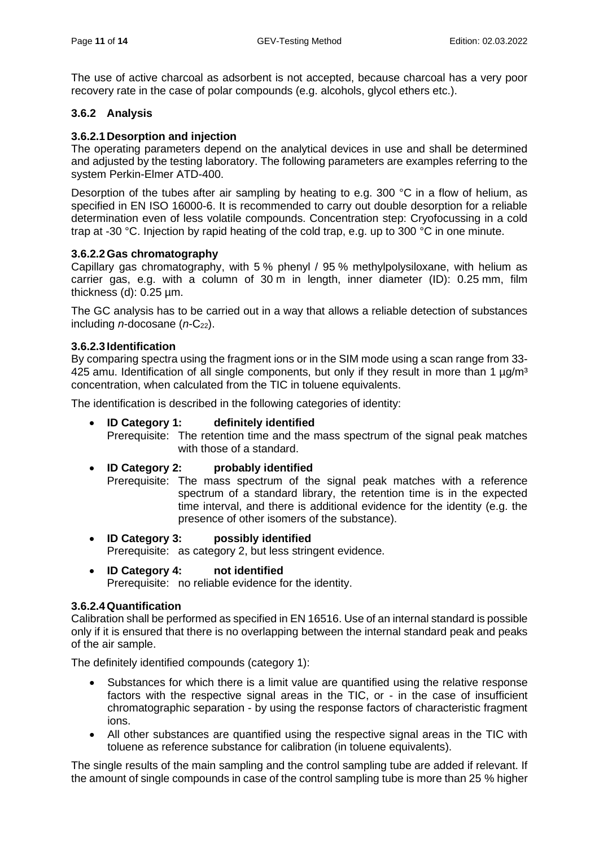The use of active charcoal as adsorbent is not accepted, because charcoal has a very poor recovery rate in the case of polar compounds (e.g. alcohols, glycol ethers etc.).

#### <span id="page-10-0"></span>**3.6.2 Analysis**

#### <span id="page-10-1"></span>**3.6.2.1 Desorption and injection**

The operating parameters depend on the analytical devices in use and shall be determined and adjusted by the testing laboratory. The following parameters are examples referring to the system Perkin-Elmer ATD-400.

Desorption of the tubes after air sampling by heating to e.g. 300 °C in a flow of helium, as specified in EN ISO 16000-6. It is recommended to carry out double desorption for a reliable determination even of less volatile compounds. Concentration step: Cryofocussing in a cold trap at -30 °C. Injection by rapid heating of the cold trap, e.g. up to 300 °C in one minute.

#### <span id="page-10-2"></span>**3.6.2.2Gas chromatography**

Capillary gas chromatography, with 5 % phenyl / 95 % methylpolysiloxane, with helium as carrier gas, e.g. with a column of 30 m in length, inner diameter (ID): 0.25 mm, film thickness (d): 0.25 µm.

The GC analysis has to be carried out in a way that allows a reliable detection of substances including *n*-docosane (*n*-C<sub>22</sub>).

#### <span id="page-10-3"></span>**3.6.2.3 Identification**

By comparing spectra using the fragment ions or in the SIM mode using a scan range from 33- 425 amu. Identification of all single components, but only if they result in more than 1  $\mu q/m^3$ concentration, when calculated from the TIC in toluene equivalents.

The identification is described in the following categories of identity:

#### • **ID Category 1: definitely identified**

Prerequisite: The retention time and the mass spectrum of the signal peak matches with those of a standard.

#### • **ID Category 2: probably identified**

Prerequisite: The mass spectrum of the signal peak matches with a reference spectrum of a standard library, the retention time is in the expected time interval, and there is additional evidence for the identity (e.g. the presence of other isomers of the substance).

- **ID Category 3: possibly identified** Prerequisite: as category 2, but less stringent evidence.
- **ID Category 4: not identified** Prerequisite: no reliable evidence for the identity.

#### <span id="page-10-4"></span>**3.6.2.4Quantification**

Calibration shall be performed as specified in EN 16516. Use of an internal standard is possible only if it is ensured that there is no overlapping between the internal standard peak and peaks of the air sample.

The definitely identified compounds (category 1):

- Substances for which there is a limit value are quantified using the relative response factors with the respective signal areas in the TIC, or - in the case of insufficient chromatographic separation - by using the response factors of characteristic fragment ions.
- All other substances are quantified using the respective signal areas in the TIC with toluene as reference substance for calibration (in toluene equivalents).

The single results of the main sampling and the control sampling tube are added if relevant. If the amount of single compounds in case of the control sampling tube is more than 25 % higher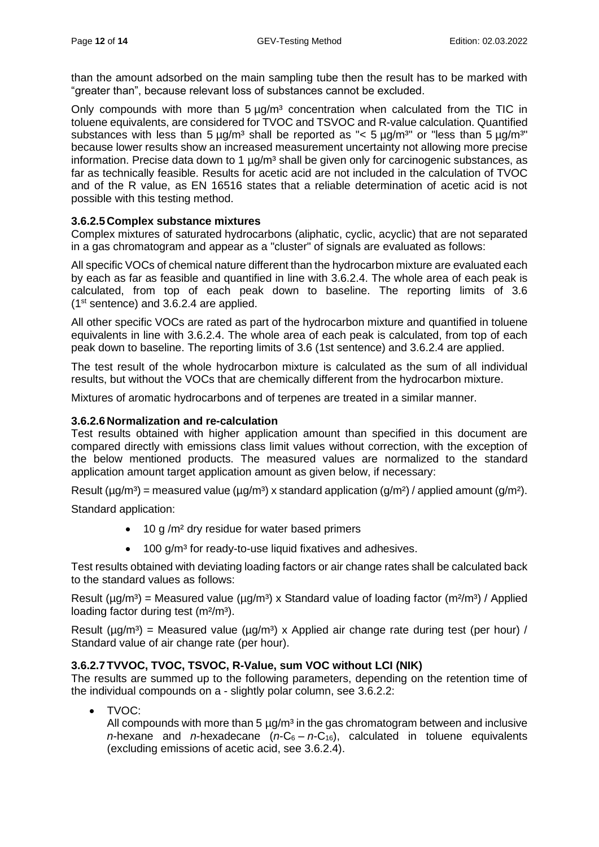than the amount adsorbed on the main sampling tube then the result has to be marked with "greater than", because relevant loss of substances cannot be excluded.

Only compounds with more than  $5 \mu q/m<sup>3</sup>$  concentration when calculated from the TIC in toluene equivalents, are considered for TVOC and TSVOC and R-value calculation. Quantified substances with less than 5  $\mu q/m^3$  shall be reported as "< 5  $\mu q/m^3$ " or "less than 5  $\mu q/m^3$ " because lower results show an increased measurement uncertainty not allowing more precise information. Precise data down to 1  $\mu q/m<sup>3</sup>$  shall be given only for carcinogenic substances, as far as technically feasible. Results for acetic acid are not included in the calculation of TVOC and of the R value, as EN 16516 states that a reliable determination of acetic acid is not possible with this testing method.

## <span id="page-11-0"></span>**3.6.2.5 Complex substance mixtures**

Complex mixtures of saturated hydrocarbons (aliphatic, cyclic, acyclic) that are not separated in a gas chromatogram and appear as a "cluster" of signals are evaluated as follows:

All specific VOCs of chemical nature different than the hydrocarbon mixture are evaluated each by each as far as feasible and quantified in line with 3.6.2.4. The whole area of each peak is calculated, from top of each peak down to baseline. The reporting limits of 3.6 (1st sentence) and 3.6.2.4 are applied.

All other specific VOCs are rated as part of the hydrocarbon mixture and quantified in toluene equivalents in line with 3.6.2.4. The whole area of each peak is calculated, from top of each peak down to baseline. The reporting limits of 3.6 (1st sentence) and 3.6.2.4 are applied.

The test result of the whole hydrocarbon mixture is calculated as the sum of all individual results, but without the VOCs that are chemically different from the hydrocarbon mixture.

Mixtures of aromatic hydrocarbons and of terpenes are treated in a similar manner.

#### <span id="page-11-1"></span>**3.6.2.6 Normalization and re-calculation**

Test results obtained with higher application amount than specified in this document are compared directly with emissions class limit values without correction, with the exception of the below mentioned products. The measured values are normalized to the standard application amount target application amount as given below, if necessary:

Result ( $\mu$ g/m<sup>3</sup>) = measured value ( $\mu$ g/m<sup>3</sup>) x standard application (g/m<sup>2</sup>) / applied amount (g/m<sup>2</sup>).

Standard application:

- 10 g /m<sup>2</sup> dry residue for water based primers
- 100 g/m<sup>3</sup> for ready-to-use liquid fixatives and adhesives.

Test results obtained with deviating loading factors or air change rates shall be calculated back to the standard values as follows:

Result ( $\mu$ g/m<sup>3</sup>) = Measured value ( $\mu$ g/m<sup>3</sup>) x Standard value of loading factor (m<sup>2</sup>/m<sup>3</sup>) / Applied loading factor during test (m<sup>2</sup>/m<sup>3</sup>).

Result  $(\mu q/m^3)$  = Measured value  $(\mu q/m^3)$  x Applied air change rate during test (per hour) / Standard value of air change rate (per hour).

#### <span id="page-11-2"></span>**3.6.2.7TVVOC, TVOC, TSVOC, R-Value, sum VOC without LCI (NIK)**

The results are summed up to the following parameters, depending on the retention time of the individual compounds on a - slightly polar column, see 3.6.2.2:

• TVOC:

All compounds with more than 5  $\mu$ g/m<sup>3</sup> in the gas chromatogram between and inclusive *n*-hexane and *n*-hexadecane ( $n$ -C<sub>6</sub> –  $n$ -C<sub>16</sub>), calculated in toluene equivalents (excluding emissions of acetic acid, see 3.6.2.4).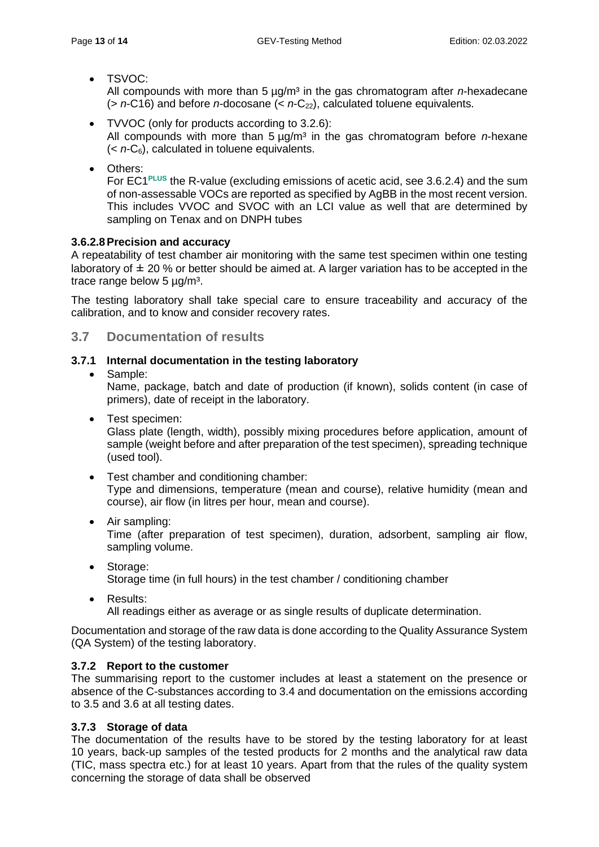• TSVOC:

All compounds with more than 5  $\mu$ g/m<sup>3</sup> in the gas chromatogram after *n*-hexadecane (> *n*-C16) and before *n*-docosane (< *n*-C22), calculated toluene equivalents.

- TVVOC (only for products according to 3.2.6): All compounds with more than 5  $\mu$ g/m<sup>3</sup> in the gas chromatogram before *n*-hexane  $(*n*-C<sub>6</sub>)$ , calculated in toluene equivalents.
- Others:

For EC1**PLUS** the R-value (excluding emissions of acetic acid, see 3.6.2.4) and the sum of non-assessable VOCs are reported as specified by AgBB in the most recent version. This includes VVOC and SVOC with an LCI value as well that are determined by sampling on Tenax and on DNPH tubes

## <span id="page-12-0"></span>**3.6.2.8Precision and accuracy**

A repeatability of test chamber air monitoring with the same test specimen within one testing laboratory of  $\pm$  20 % or better should be aimed at. A larger variation has to be accepted in the trace range below  $5 \mu g/m^3$ .

The testing laboratory shall take special care to ensure traceability and accuracy of the calibration, and to know and consider recovery rates.

## <span id="page-12-1"></span>**3.7 Documentation of results**

## <span id="page-12-2"></span>**3.7.1 Internal documentation in the testing laboratory**

## • Sample:

Name, package, batch and date of production (if known), solids content (in case of primers), date of receipt in the laboratory.

• Test specimen:

Glass plate (length, width), possibly mixing procedures before application, amount of sample (weight before and after preparation of the test specimen), spreading technique (used tool).

- Test chamber and conditioning chamber: Type and dimensions, temperature (mean and course), relative humidity (mean and course), air flow (in litres per hour, mean and course).
- Air sampling:

Time (after preparation of test specimen), duration, adsorbent, sampling air flow, sampling volume.

- Storage: Storage time (in full hours) in the test chamber / conditioning chamber
- Results: All readings either as average or as single results of duplicate determination.

Documentation and storage of the raw data is done according to the Quality Assurance System (QA System) of the testing laboratory.

## <span id="page-12-3"></span>**3.7.2 Report to the customer**

The summarising report to the customer includes at least a statement on the presence or absence of the C-substances according to 3.4 and documentation on the emissions according to 3.5 and 3.6 at all testing dates.

## <span id="page-12-4"></span>**3.7.3 Storage of data**

The documentation of the results have to be stored by the testing laboratory for at least 10 years, back-up samples of the tested products for 2 months and the analytical raw data (TIC, mass spectra etc.) for at least 10 years. Apart from that the rules of the quality system concerning the storage of data shall be observed